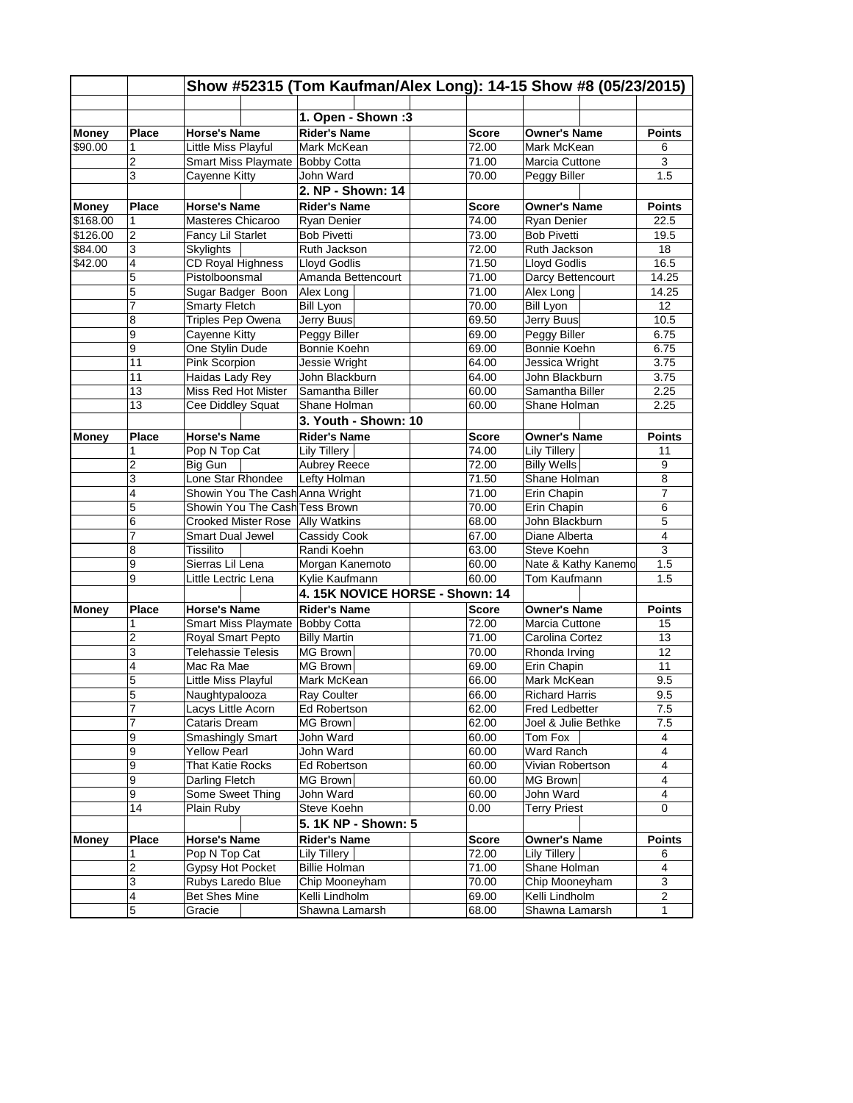|              |                | Show #52315 (Tom Kaufman/Alex Long): 14-15 Show #8 (05/23/2015) |                                                   |                     |               |                       |                 |  |  |
|--------------|----------------|-----------------------------------------------------------------|---------------------------------------------------|---------------------|---------------|-----------------------|-----------------|--|--|
|              |                |                                                                 |                                                   |                     |               |                       |                 |  |  |
|              |                |                                                                 | 1. Open - Shown :3                                |                     |               |                       |                 |  |  |
| <b>Money</b> | Place          | <b>Horse's Name</b>                                             | <b>Rider's Name</b>                               | <b>Owner's Name</b> | <b>Points</b> |                       |                 |  |  |
| \$90.00      | 1              | Little Miss Playful                                             | Mark McKean                                       |                     | 72.00         | Mark McKean           | 6               |  |  |
|              | 2              | Smart Miss Playmate Bobby Cotta                                 |                                                   |                     | 71.00         | Marcia Cuttone        | 3               |  |  |
|              | 3              | Cayenne Kitty                                                   | John Ward                                         |                     | 70.00         | Peggy Biller          | 1.5             |  |  |
|              |                |                                                                 | 2. NP - Shown: 14                                 |                     |               |                       |                 |  |  |
| <b>Money</b> | Place          | <b>Horse's Name</b>                                             | <b>Rider's Name</b>                               |                     | <b>Score</b>  | <b>Owner's Name</b>   | <b>Points</b>   |  |  |
| \$168.00     | 1              | Masteres Chicaroo                                               | 74.00<br>Ryan Denier                              |                     | Ryan Denier   | 22.5                  |                 |  |  |
| \$126.00     | $\overline{2}$ | Fancy Lil Starlet                                               | <b>Bob Pivetti</b><br>73.00<br><b>Bob Pivetti</b> |                     |               | 19.5                  |                 |  |  |
| \$84.00      | $\overline{3}$ | <b>Skylights</b>                                                | Ruth Jackson<br>72.00<br>Ruth Jackson             |                     |               | 18                    |                 |  |  |
| \$42.00      | $\overline{4}$ | CD Royal Highness                                               | Lloyd Godlis                                      |                     | 71.50         | Lloyd Godlis          | 16.5            |  |  |
|              | 5              | Pistolboonsmal                                                  | Amanda Bettencourt                                |                     | 71.00         | Darcy Bettencourt     | 14.25           |  |  |
|              | 5              | Sugar Badger Boon                                               | Alex Long                                         |                     | 71.00         | Alex Long             | 14.25           |  |  |
|              | 7              | <b>Smarty Fletch</b>                                            | Bill Lyon                                         |                     | 70.00         | <b>Bill Lyon</b>      | 12 <sup>°</sup> |  |  |
|              | 8              | Triples Pep Owena                                               | Jerry Buus                                        |                     | 69.50         | Jerry Buus            | 10.5            |  |  |
|              | 9              | Cayenne Kitty                                                   | Peggy Biller                                      |                     | 69.00         | Peggy Biller          | 6.75            |  |  |
|              | 9              | One Stylin Dude                                                 | Bonnie Koehn                                      |                     | 69.00         | Bonnie Koehn          | 6.75            |  |  |
|              | 11             | Pink Scorpion                                                   | <b>Jessie Wright</b>                              |                     | 64.00         | Jessica Wright        | 3.75            |  |  |
|              | 11             | Haidas Lady Rey                                                 | John Blackburn                                    |                     | 64.00         | John Blackburn        | 3.75            |  |  |
|              | 13             | Miss Red Hot Mister                                             | Samantha Biller                                   |                     | 60.00         | Samantha Biller       | 2.25            |  |  |
|              | 13             | Cee Diddley Squat                                               | Shane Holman                                      |                     | 60.00         | Shane Holman          | 2.25            |  |  |
|              |                |                                                                 | 3. Youth - Shown: 10                              |                     |               |                       |                 |  |  |
| <b>Money</b> | <b>Place</b>   | <b>Horse's Name</b>                                             | <b>Rider's Name</b>                               |                     | <b>Score</b>  | <b>Owner's Name</b>   | <b>Points</b>   |  |  |
|              |                | Pop N Top Cat                                                   | Lily Tillery                                      |                     | 74.00         | <b>Lily Tillery</b>   | 11              |  |  |
|              | $\overline{2}$ | Big Gun                                                         | <b>Aubrey Reece</b>                               |                     | 72.00         | <b>Billy Wells</b>    | 9               |  |  |
|              | 3              | Lone Star Rhondee                                               | Lefty Holman                                      |                     | 71.50         | Shane Holman          | 8               |  |  |
|              | 4              | Showin You The Cash Anna Wright                                 |                                                   |                     | 71.00         | Erin Chapin           | $\overline{7}$  |  |  |
|              | 5              | Showin You The Cash Tess Brown                                  |                                                   |                     | 70.00         | Erin Chapin           | 6               |  |  |
|              | 6              | <b>Crooked Mister Rose</b>                                      | <b>Ally Watkins</b>                               |                     | 68.00         | John Blackburn        | 5               |  |  |
|              | 7              | Smart Dual Jewel                                                | Cassidy Cook                                      |                     | 67.00         | Diane Alberta         | $\overline{4}$  |  |  |
|              | 8              | Tissilito                                                       | Randi Koehn                                       |                     | 63.00         | Steve Koehn           | $\overline{3}$  |  |  |
|              | 9              | Sierras Lil Lena                                                | Morgan Kanemoto                                   |                     | 60.00         | Nate & Kathy Kanemo   | 1.5             |  |  |
|              | 9              | Little Lectric Lena                                             | Kylie Kaufmann                                    |                     | 60.00         | Tom Kaufmann          | 1.5             |  |  |
|              |                |                                                                 | 4. 15K NOVICE HORSE - Shown: 14                   |                     |               |                       |                 |  |  |
| <b>Money</b> | <b>Place</b>   | <b>Horse's Name</b>                                             | <b>Rider's Name</b>                               |                     | <b>Score</b>  | <b>Owner's Name</b>   | <b>Points</b>   |  |  |
|              | 1              | Smart Miss Playmate Bobby Cotta                                 |                                                   |                     | 72.00         | Marcia Cuttone        | 15              |  |  |
|              | $\overline{2}$ | Royal Smart Pepto                                               | <b>Billy Martin</b>                               |                     | 71.00         | Carolina Cortez       | 13              |  |  |
|              | 3              | <b>Telehassie Telesis</b>                                       | MG Brown                                          |                     | 70.00         | Rhonda Irving         | 12              |  |  |
|              | 4              | Mac Ra Mae                                                      | <b>MG Brown</b>                                   |                     | 69.00         | Erin Chapin           | 11              |  |  |
|              | 5              | Little Miss Playful                                             | Mark McKean                                       |                     | 66.00         | Mark McKean           | 9.5             |  |  |
|              | 5              | Naughtypalooza                                                  | Ray Coulter                                       |                     | 66.00         | <b>Richard Harris</b> | 9.5             |  |  |
|              | 7              | Lacys Little Acorn                                              | Ed Robertson                                      |                     | 62.00         | Fred Ledbetter        | 7.5             |  |  |
|              | 7              | Cataris Dream                                                   | MG Brown                                          |                     | 62.00         | Joel & Julie Bethke   | 7.5             |  |  |
|              | 9              | Smashingly Smart                                                | John Ward                                         |                     | 60.00         | Tom Fox               | 4               |  |  |
|              | 9              | <b>Yellow Pearl</b>                                             | John Ward                                         |                     | 60.00         | Ward Ranch            | 4               |  |  |
|              | 9              | That Katie Rocks                                                | Ed Robertson                                      |                     | 60.00         | Vivian Robertson      | 4               |  |  |
|              | 9              | Darling Fletch                                                  | MG Brown                                          |                     | 60.00         | MG Brown              | 4               |  |  |
|              | 9              | Some Sweet Thing                                                | John Ward                                         |                     | 60.00         | John Ward             | 4               |  |  |
|              | 14             | Plain Ruby                                                      | Steve Koehn                                       |                     | 0.00          | <b>Terry Priest</b>   | 0               |  |  |
|              |                |                                                                 |                                                   |                     |               |                       |                 |  |  |
|              |                |                                                                 | 5. 1K NP - Shown: 5                               |                     |               |                       |                 |  |  |
| <b>Money</b> | <b>Place</b>   | <b>Horse's Name</b>                                             | <b>Rider's Name</b>                               |                     | Score         | <b>Owner's Name</b>   | Points          |  |  |
|              | 1              | Pop N Top Cat                                                   | Lily Tillery                                      |                     | 72.00         | <b>Lily Tillery</b>   | 6               |  |  |
|              | 2              | Gypsy Hot Pocket                                                | <b>Billie Holman</b>                              |                     | 71.00         | Shane Holman          | 4               |  |  |
|              | 3              | Rubys Laredo Blue                                               | Chip Mooneyham                                    |                     | 70.00         | Chip Mooneyham        | 3               |  |  |
|              | 4              | <b>Bet Shes Mine</b>                                            | Kelli Lindholm                                    |                     | 69.00         | Kelli Lindholm        | 2               |  |  |
|              | 5              | Gracie                                                          | Shawna Lamarsh                                    |                     | 68.00         | Shawna Lamarsh        | $\mathbf{1}$    |  |  |